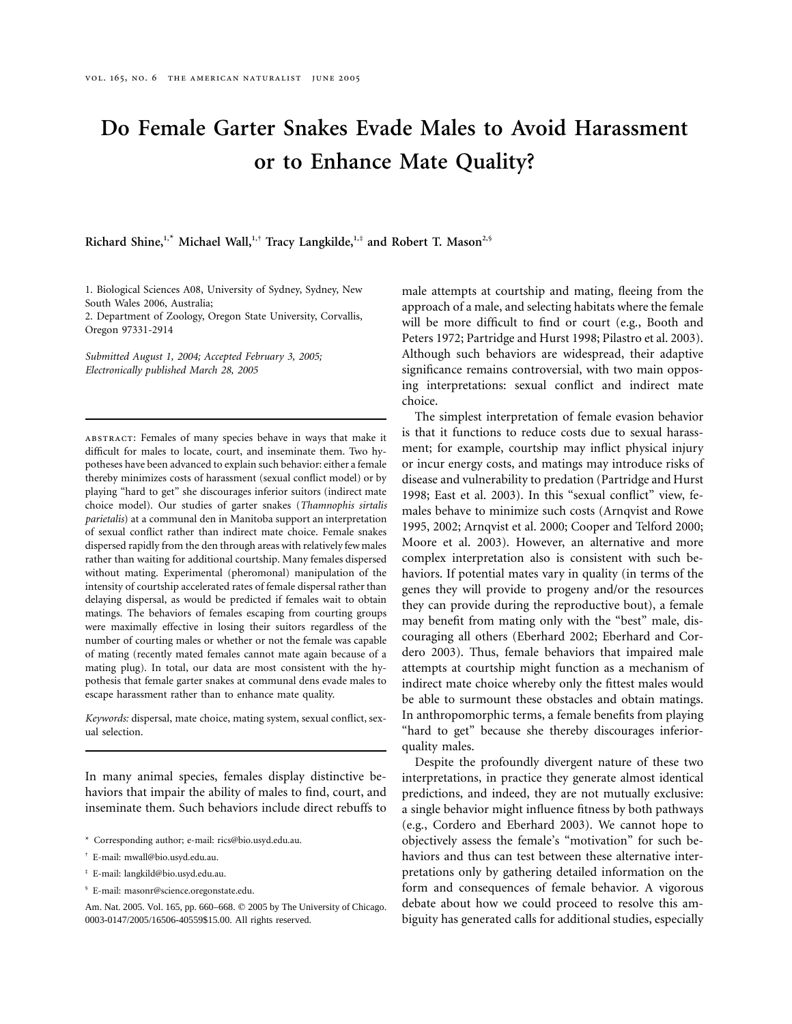# **Do Female Garter Snakes Evade Males to Avoid Harassment or to Enhance Mate Quality?**

**Richard Shine,1,**\* **Michael Wall,1,**† **Tracy Langkilde,1,**‡ **and Robert T. Mason2,**§

1. Biological Sciences A08, University of Sydney, Sydney, New South Wales 2006, Australia;

2. Department of Zoology, Oregon State University, Corvallis, Oregon 97331-2914

*Submitted August 1, 2004; Accepted February 3, 2005; Electronically published March 28, 2005*

abstract: Females of many species behave in ways that make it difficult for males to locate, court, and inseminate them. Two hypotheses have been advanced to explain such behavior: either a female thereby minimizes costs of harassment (sexual conflict model) or by playing "hard to get" she discourages inferior suitors (indirect mate choice model). Our studies of garter snakes (*Thamnophis sirtalis parietalis*) at a communal den in Manitoba support an interpretation of sexual conflict rather than indirect mate choice. Female snakes dispersed rapidly from the den through areas with relatively few males rather than waiting for additional courtship. Many females dispersed without mating. Experimental (pheromonal) manipulation of the intensity of courtship accelerated rates of female dispersal rather than delaying dispersal, as would be predicted if females wait to obtain matings. The behaviors of females escaping from courting groups were maximally effective in losing their suitors regardless of the number of courting males or whether or not the female was capable of mating (recently mated females cannot mate again because of a mating plug). In total, our data are most consistent with the hypothesis that female garter snakes at communal dens evade males to escape harassment rather than to enhance mate quality.

*Keywords:* dispersal, mate choice, mating system, sexual conflict, sexual selection.

In many animal species, females display distinctive behaviors that impair the ability of males to find, court, and inseminate them. Such behaviors include direct rebuffs to

- \* Corresponding author; e-mail: rics@bio.usyd.edu.au.
- † E-mail: mwall@bio.usyd.edu.au.
- ‡ E-mail: langkild@bio.usyd.edu.au.
- § E-mail: masonr@science.oregonstate.edu.

Am. Nat. 2005. Vol. 165, pp. 660–668. © 2005 by The University of Chicago. 0003-0147/2005/16506-40559\$15.00. All rights reserved.

male attempts at courtship and mating, fleeing from the approach of a male, and selecting habitats where the female will be more difficult to find or court (e.g., Booth and Peters 1972; Partridge and Hurst 1998; Pilastro et al. 2003). Although such behaviors are widespread, their adaptive significance remains controversial, with two main opposing interpretations: sexual conflict and indirect mate choice.

The simplest interpretation of female evasion behavior is that it functions to reduce costs due to sexual harassment; for example, courtship may inflict physical injury or incur energy costs, and matings may introduce risks of disease and vulnerability to predation (Partridge and Hurst 1998; East et al. 2003). In this "sexual conflict" view, females behave to minimize such costs (Arnqvist and Rowe 1995, 2002; Arnqvist et al. 2000; Cooper and Telford 2000; Moore et al. 2003). However, an alternative and more complex interpretation also is consistent with such behaviors. If potential mates vary in quality (in terms of the genes they will provide to progeny and/or the resources they can provide during the reproductive bout), a female may benefit from mating only with the "best" male, discouraging all others (Eberhard 2002; Eberhard and Cordero 2003). Thus, female behaviors that impaired male attempts at courtship might function as a mechanism of indirect mate choice whereby only the fittest males would be able to surmount these obstacles and obtain matings. In anthropomorphic terms, a female benefits from playing "hard to get" because she thereby discourages inferiorquality males.

Despite the profoundly divergent nature of these two interpretations, in practice they generate almost identical predictions, and indeed, they are not mutually exclusive: a single behavior might influence fitness by both pathways (e.g., Cordero and Eberhard 2003). We cannot hope to objectively assess the female's "motivation" for such behaviors and thus can test between these alternative interpretations only by gathering detailed information on the form and consequences of female behavior. A vigorous debate about how we could proceed to resolve this ambiguity has generated calls for additional studies, especially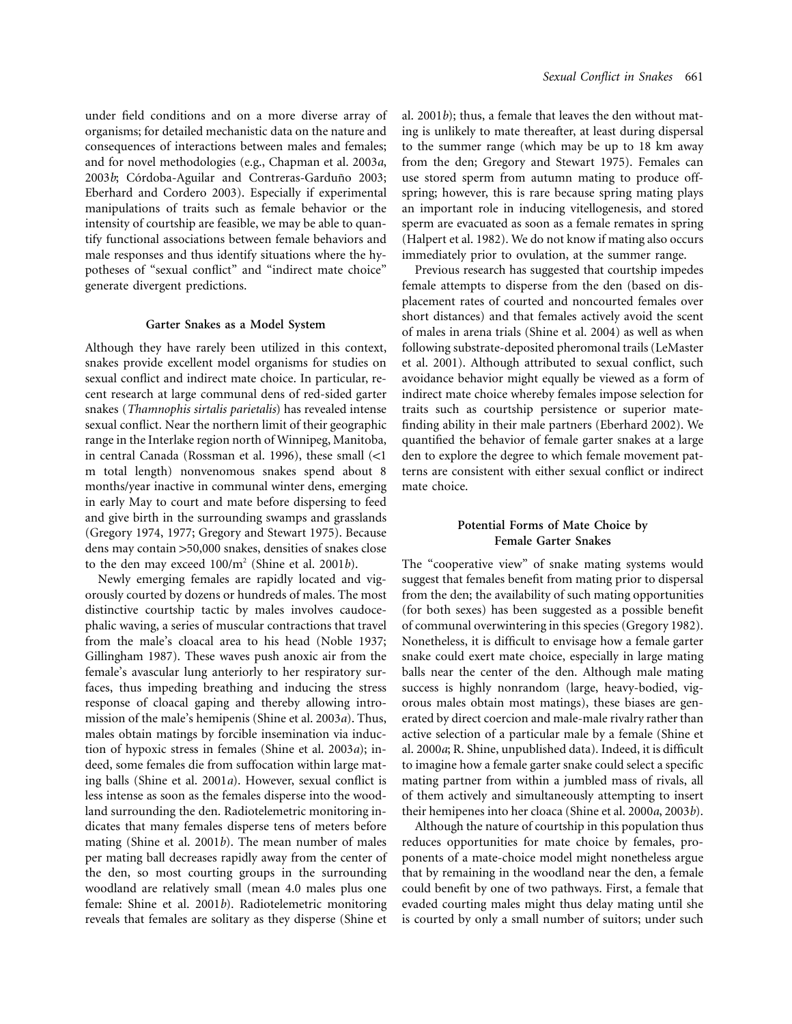under field conditions and on a more diverse array of organisms; for detailed mechanistic data on the nature and consequences of interactions between males and females; and for novel methodologies (e.g., Chapman et al. 2003*a*, 2003*b*; Córdoba-Aguilar and Contreras-Garduño 2003; Eberhard and Cordero 2003). Especially if experimental manipulations of traits such as female behavior or the intensity of courtship are feasible, we may be able to quantify functional associations between female behaviors and male responses and thus identify situations where the hypotheses of "sexual conflict" and "indirect mate choice" generate divergent predictions.

## **Garter Snakes as a Model System**

Although they have rarely been utilized in this context, snakes provide excellent model organisms for studies on sexual conflict and indirect mate choice. In particular, recent research at large communal dens of red-sided garter snakes (*Thamnophis sirtalis parietalis*) has revealed intense sexual conflict. Near the northern limit of their geographic range in the Interlake region north of Winnipeg, Manitoba, in central Canada (Rossman et al. 1996), these small  $\left($  < 1 m total length) nonvenomous snakes spend about 8 months/year inactive in communal winter dens, emerging in early May to court and mate before dispersing to feed and give birth in the surrounding swamps and grasslands (Gregory 1974, 1977; Gregory and Stewart 1975). Because dens may contain >50,000 snakes, densities of snakes close to the den may exceed 100/m<sup>2</sup> (Shine et al. 2001*b*).

Newly emerging females are rapidly located and vigorously courted by dozens or hundreds of males. The most distinctive courtship tactic by males involves caudocephalic waving, a series of muscular contractions that travel from the male's cloacal area to his head (Noble 1937; Gillingham 1987). These waves push anoxic air from the female's avascular lung anteriorly to her respiratory surfaces, thus impeding breathing and inducing the stress response of cloacal gaping and thereby allowing intromission of the male's hemipenis (Shine et al. 2003*a*). Thus, males obtain matings by forcible insemination via induction of hypoxic stress in females (Shine et al. 2003*a*); indeed, some females die from suffocation within large mating balls (Shine et al. 2001*a*). However, sexual conflict is less intense as soon as the females disperse into the woodland surrounding the den. Radiotelemetric monitoring indicates that many females disperse tens of meters before mating (Shine et al. 2001*b*). The mean number of males per mating ball decreases rapidly away from the center of the den, so most courting groups in the surrounding woodland are relatively small (mean 4.0 males plus one female: Shine et al. 2001*b*). Radiotelemetric monitoring reveals that females are solitary as they disperse (Shine et al. 2001*b*); thus, a female that leaves the den without mating is unlikely to mate thereafter, at least during dispersal to the summer range (which may be up to 18 km away from the den; Gregory and Stewart 1975). Females can use stored sperm from autumn mating to produce offspring; however, this is rare because spring mating plays an important role in inducing vitellogenesis, and stored sperm are evacuated as soon as a female remates in spring (Halpert et al. 1982). We do not know if mating also occurs immediately prior to ovulation, at the summer range.

Previous research has suggested that courtship impedes female attempts to disperse from the den (based on displacement rates of courted and noncourted females over short distances) and that females actively avoid the scent of males in arena trials (Shine et al. 2004) as well as when following substrate-deposited pheromonal trails (LeMaster et al. 2001). Although attributed to sexual conflict, such avoidance behavior might equally be viewed as a form of indirect mate choice whereby females impose selection for traits such as courtship persistence or superior matefinding ability in their male partners (Eberhard 2002). We quantified the behavior of female garter snakes at a large den to explore the degree to which female movement patterns are consistent with either sexual conflict or indirect mate choice.

# **Potential Forms of Mate Choice by Female Garter Snakes**

The "cooperative view" of snake mating systems would suggest that females benefit from mating prior to dispersal from the den; the availability of such mating opportunities (for both sexes) has been suggested as a possible benefit of communal overwintering in this species (Gregory 1982). Nonetheless, it is difficult to envisage how a female garter snake could exert mate choice, especially in large mating balls near the center of the den. Although male mating success is highly nonrandom (large, heavy-bodied, vigorous males obtain most matings), these biases are generated by direct coercion and male-male rivalry rather than active selection of a particular male by a female (Shine et al. 2000*a*; R. Shine, unpublished data). Indeed, it is difficult to imagine how a female garter snake could select a specific mating partner from within a jumbled mass of rivals, all of them actively and simultaneously attempting to insert their hemipenes into her cloaca (Shine et al. 2000*a*, 2003*b*).

Although the nature of courtship in this population thus reduces opportunities for mate choice by females, proponents of a mate-choice model might nonetheless argue that by remaining in the woodland near the den, a female could benefit by one of two pathways. First, a female that evaded courting males might thus delay mating until she is courted by only a small number of suitors; under such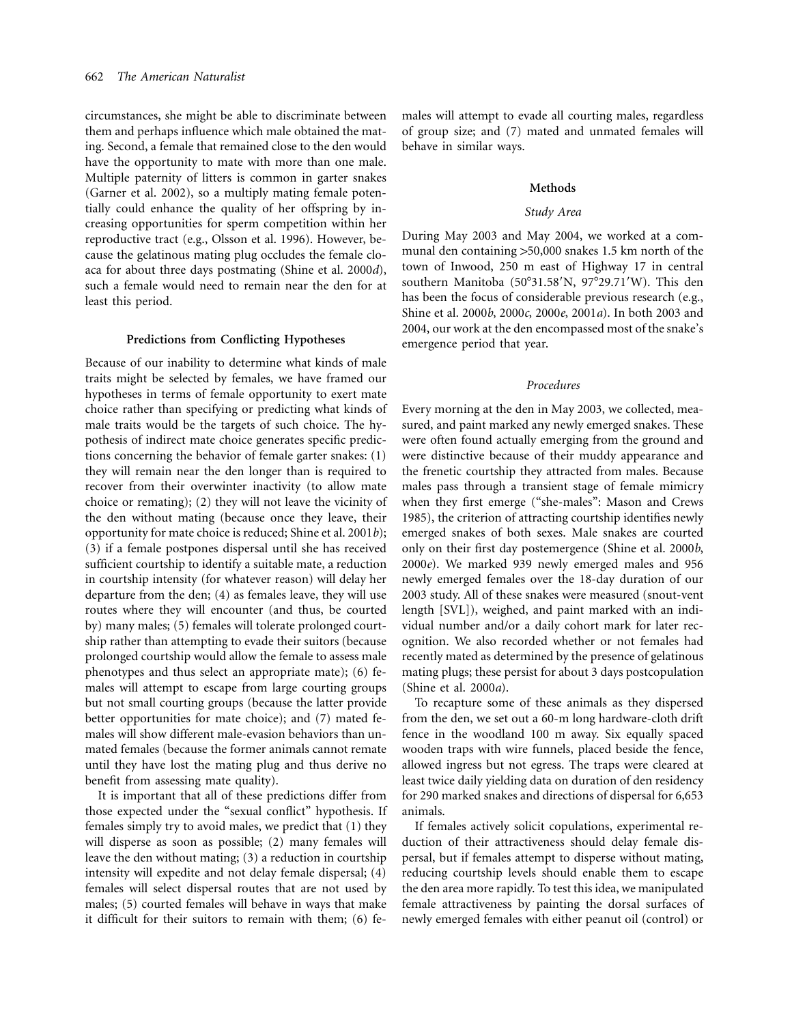circumstances, she might be able to discriminate between them and perhaps influence which male obtained the mating. Second, a female that remained close to the den would have the opportunity to mate with more than one male. Multiple paternity of litters is common in garter snakes (Garner et al. 2002), so a multiply mating female potentially could enhance the quality of her offspring by increasing opportunities for sperm competition within her reproductive tract (e.g., Olsson et al. 1996). However, because the gelatinous mating plug occludes the female cloaca for about three days postmating (Shine et al. 2000*d*), such a female would need to remain near the den for at least this period.

#### **Predictions from Conflicting Hypotheses**

Because of our inability to determine what kinds of male traits might be selected by females, we have framed our hypotheses in terms of female opportunity to exert mate choice rather than specifying or predicting what kinds of male traits would be the targets of such choice. The hypothesis of indirect mate choice generates specific predictions concerning the behavior of female garter snakes: (1) they will remain near the den longer than is required to recover from their overwinter inactivity (to allow mate choice or remating); (2) they will not leave the vicinity of the den without mating (because once they leave, their opportunity for mate choice is reduced; Shine et al. 2001*b*); (3) if a female postpones dispersal until she has received sufficient courtship to identify a suitable mate, a reduction in courtship intensity (for whatever reason) will delay her departure from the den; (4) as females leave, they will use routes where they will encounter (and thus, be courted by) many males; (5) females will tolerate prolonged courtship rather than attempting to evade their suitors (because prolonged courtship would allow the female to assess male phenotypes and thus select an appropriate mate); (6) females will attempt to escape from large courting groups but not small courting groups (because the latter provide better opportunities for mate choice); and (7) mated females will show different male-evasion behaviors than unmated females (because the former animals cannot remate until they have lost the mating plug and thus derive no benefit from assessing mate quality).

It is important that all of these predictions differ from those expected under the "sexual conflict" hypothesis. If females simply try to avoid males, we predict that (1) they will disperse as soon as possible; (2) many females will leave the den without mating; (3) a reduction in courtship intensity will expedite and not delay female dispersal; (4) females will select dispersal routes that are not used by males; (5) courted females will behave in ways that make it difficult for their suitors to remain with them; (6) females will attempt to evade all courting males, regardless of group size; and (7) mated and unmated females will behave in similar ways.

#### **Methods**

# *Study Area*

During May 2003 and May 2004, we worked at a communal den containing  $>50,000$  snakes 1.5 km north of the town of Inwood, 250 m east of Highway 17 in central southern Manitoba (50°31.58'N, 97°29.71'W). This den has been the focus of considerable previous research (e.g., Shine et al. 2000*b*, 2000*c*, 2000*e*, 2001*a*). In both 2003 and 2004, our work at the den encompassed most of the snake's emergence period that year.

## *Procedures*

Every morning at the den in May 2003, we collected, measured, and paint marked any newly emerged snakes. These were often found actually emerging from the ground and were distinctive because of their muddy appearance and the frenetic courtship they attracted from males. Because males pass through a transient stage of female mimicry when they first emerge ("she-males": Mason and Crews 1985), the criterion of attracting courtship identifies newly emerged snakes of both sexes. Male snakes are courted only on their first day postemergence (Shine et al. 2000*b*, 2000*e*). We marked 939 newly emerged males and 956 newly emerged females over the 18-day duration of our 2003 study. All of these snakes were measured (snout-vent length [SVL]), weighed, and paint marked with an individual number and/or a daily cohort mark for later recognition. We also recorded whether or not females had recently mated as determined by the presence of gelatinous mating plugs; these persist for about 3 days postcopulation (Shine et al. 2000*a*).

To recapture some of these animals as they dispersed from the den, we set out a 60-m long hardware-cloth drift fence in the woodland 100 m away. Six equally spaced wooden traps with wire funnels, placed beside the fence, allowed ingress but not egress. The traps were cleared at least twice daily yielding data on duration of den residency for 290 marked snakes and directions of dispersal for 6,653 animals.

If females actively solicit copulations, experimental reduction of their attractiveness should delay female dispersal, but if females attempt to disperse without mating, reducing courtship levels should enable them to escape the den area more rapidly. To test this idea, we manipulated female attractiveness by painting the dorsal surfaces of newly emerged females with either peanut oil (control) or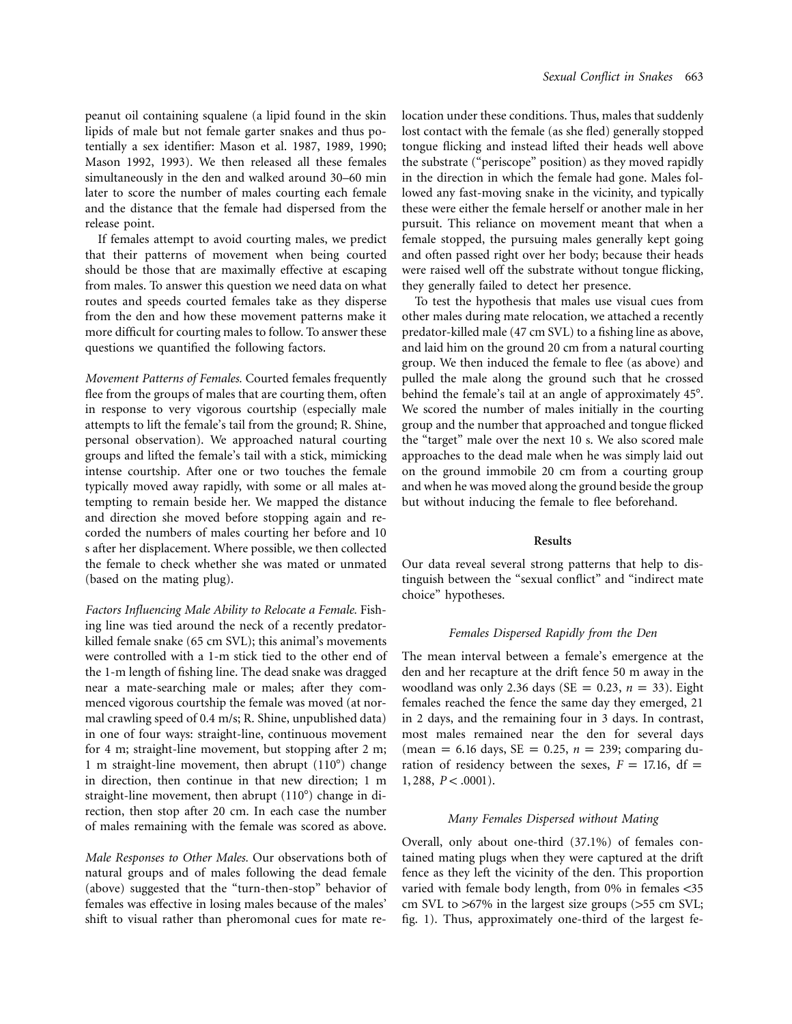peanut oil containing squalene (a lipid found in the skin lipids of male but not female garter snakes and thus potentially a sex identifier: Mason et al. 1987, 1989, 1990; Mason 1992, 1993). We then released all these females simultaneously in the den and walked around 30–60 min later to score the number of males courting each female and the distance that the female had dispersed from the release point.

If females attempt to avoid courting males, we predict that their patterns of movement when being courted should be those that are maximally effective at escaping from males. To answer this question we need data on what routes and speeds courted females take as they disperse from the den and how these movement patterns make it more difficult for courting males to follow. To answer these questions we quantified the following factors.

*Movement Patterns of Females.* Courted females frequently flee from the groups of males that are courting them, often in response to very vigorous courtship (especially male attempts to lift the female's tail from the ground; R. Shine, personal observation). We approached natural courting groups and lifted the female's tail with a stick, mimicking intense courtship. After one or two touches the female typically moved away rapidly, with some or all males attempting to remain beside her. We mapped the distance and direction she moved before stopping again and recorded the numbers of males courting her before and 10 s after her displacement. Where possible, we then collected the female to check whether she was mated or unmated (based on the mating plug).

*Factors Influencing Male Ability to Relocate a Female.* Fishing line was tied around the neck of a recently predatorkilled female snake (65 cm SVL); this animal's movements were controlled with a 1-m stick tied to the other end of the 1-m length of fishing line. The dead snake was dragged near a mate-searching male or males; after they commenced vigorous courtship the female was moved (at normal crawling speed of 0.4 m/s; R. Shine, unpublished data) in one of four ways: straight-line, continuous movement for 4 m; straight-line movement, but stopping after 2 m; 1 m straight-line movement, then abrupt (110°) change in direction, then continue in that new direction; 1 m straight-line movement, then abrupt (110°) change in direction, then stop after 20 cm. In each case the number of males remaining with the female was scored as above.

*Male Responses to Other Males.* Our observations both of natural groups and of males following the dead female (above) suggested that the "turn-then-stop" behavior of females was effective in losing males because of the males' shift to visual rather than pheromonal cues for mate relocation under these conditions. Thus, males that suddenly lost contact with the female (as she fled) generally stopped tongue flicking and instead lifted their heads well above the substrate ("periscope" position) as they moved rapidly in the direction in which the female had gone. Males followed any fast-moving snake in the vicinity, and typically these were either the female herself or another male in her pursuit. This reliance on movement meant that when a female stopped, the pursuing males generally kept going and often passed right over her body; because their heads were raised well off the substrate without tongue flicking, they generally failed to detect her presence.

To test the hypothesis that males use visual cues from other males during mate relocation, we attached a recently predator-killed male (47 cm SVL) to a fishing line as above, and laid him on the ground 20 cm from a natural courting group. We then induced the female to flee (as above) and pulled the male along the ground such that he crossed behind the female's tail at an angle of approximately 45°. We scored the number of males initially in the courting group and the number that approached and tongue flicked the "target" male over the next 10 s. We also scored male approaches to the dead male when he was simply laid out on the ground immobile 20 cm from a courting group and when he was moved along the ground beside the group but without inducing the female to flee beforehand.

#### **Results**

Our data reveal several strong patterns that help to distinguish between the "sexual conflict" and "indirect mate choice" hypotheses.

## *Females Dispersed Rapidly from the Den*

The mean interval between a female's emergence at the den and her recapture at the drift fence 50 m away in the woodland was only 2.36 days ( $SE = 0.23$ ,  $n = 33$ ). Eight females reached the fence the same day they emerged, 21 in 2 days, and the remaining four in 3 days. In contrast, most males remained near the den for several days (mean = 6.16 days,  $SE = 0.25$ ,  $n = 239$ ; comparing duration of residency between the sexes,  $F = 17.16$ , df =  $1, 288, P < .0001$ ).

### *Many Females Dispersed without Mating*

Overall, only about one-third (37.1%) of females contained mating plugs when they were captured at the drift fence as they left the vicinity of the den. This proportion varied with female body length, from  $0\%$  in females <35 cm SVL to  $>67\%$  in the largest size groups ( $>55$  cm SVL; fig. 1). Thus, approximately one-third of the largest fe-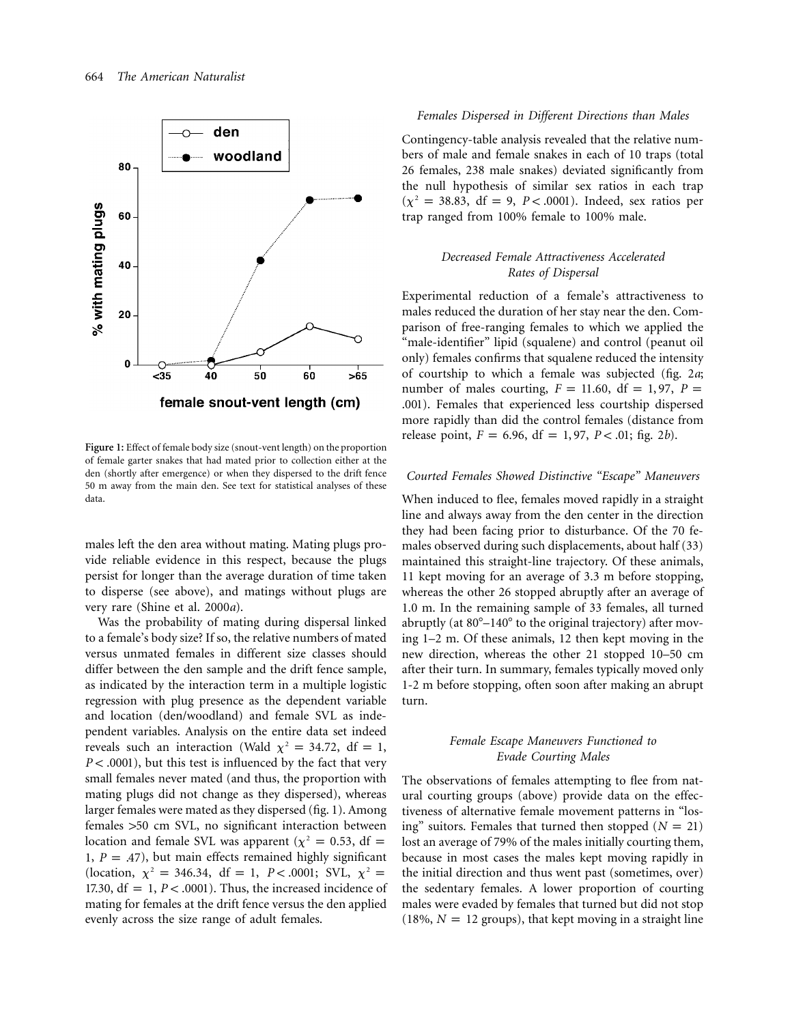

**Figure 1:** Effect of female body size (snout-vent length) on the proportion of female garter snakes that had mated prior to collection either at the den (shortly after emergence) or when they dispersed to the drift fence 50 m away from the main den. See text for statistical analyses of these data.

males left the den area without mating. Mating plugs provide reliable evidence in this respect, because the plugs persist for longer than the average duration of time taken to disperse (see above), and matings without plugs are very rare (Shine et al. 2000*a*).

Was the probability of mating during dispersal linked to a female's body size? If so, the relative numbers of mated versus unmated females in different size classes should differ between the den sample and the drift fence sample, as indicated by the interaction term in a multiple logistic regression with plug presence as the dependent variable and location (den/woodland) and female SVL as independent variables. Analysis on the entire data set indeed reveals such an interaction (Wald  $\chi^2 = 34.72$ , df = 1,  $P < .0001$ ), but this test is influenced by the fact that very small females never mated (and thus, the proportion with mating plugs did not change as they dispersed), whereas larger females were mated as they dispersed (fig. 1). Among females >50 cm SVL, no significant interaction between location and female SVL was apparent ( $\chi^2 = 0.53$ , df = 1,  $P = .47$ ), but main effects remained highly significant (location,  $\chi^2 = 346.34$ , df = 1, *P* < .0001; SVL,  $\chi^2 =$ 17.30,  $df = 1$ ,  $P < .0001$ ). Thus, the increased incidence of mating for females at the drift fence versus the den applied evenly across the size range of adult females.

#### *Females Dispersed in Different Directions than Males*

Contingency-table analysis revealed that the relative numbers of male and female snakes in each of 10 traps (total 26 females, 238 male snakes) deviated significantly from the null hypothesis of similar sex ratios in each trap  $(\chi^2 = 38.83, df = 9, P < .0001)$ . Indeed, sex ratios per trap ranged from 100% female to 100% male.

# *Decreased Female Attractiveness Accelerated Rates of Dispersal*

Experimental reduction of a female's attractiveness to males reduced the duration of her stay near the den. Comparison of free-ranging females to which we applied the "male-identifier" lipid (squalene) and control (peanut oil only) females confirms that squalene reduced the intensity of courtship to which a female was subjected (fig. 2*a*; number of males courting,  $F = 11.60$ ,  $df = 1, 97$ ,  $P =$ .001). Females that experienced less courtship dispersed more rapidly than did the control females (distance from release point,  $F = 6.96$ ,  $df = 1, 97$ ,  $P < .01$ ; fig. 2*b*).

## *Courted Females Showed Distinctive "Escape" Maneuvers*

When induced to flee, females moved rapidly in a straight line and always away from the den center in the direction they had been facing prior to disturbance. Of the 70 females observed during such displacements, about half (33) maintained this straight-line trajectory. Of these animals, 11 kept moving for an average of 3.3 m before stopping, whereas the other 26 stopped abruptly after an average of 1.0 m. In the remaining sample of 33 females, all turned abruptly (at  $80^{\circ}$ –140 $^{\circ}$  to the original trajectory) after moving 1–2 m. Of these animals, 12 then kept moving in the new direction, whereas the other 21 stopped 10–50 cm after their turn. In summary, females typically moved only 1-2 m before stopping, often soon after making an abrupt turn.

# *Female Escape Maneuvers Functioned to Evade Courting Males*

The observations of females attempting to flee from natural courting groups (above) provide data on the effectiveness of alternative female movement patterns in "losing" suitors. Females that turned then stopped  $(N = 21)$ lost an average of 79% of the males initially courting them, because in most cases the males kept moving rapidly in the initial direction and thus went past (sometimes, over) the sedentary females. A lower proportion of courting males were evaded by females that turned but did not stop (18%,  $N = 12$  groups), that kept moving in a straight line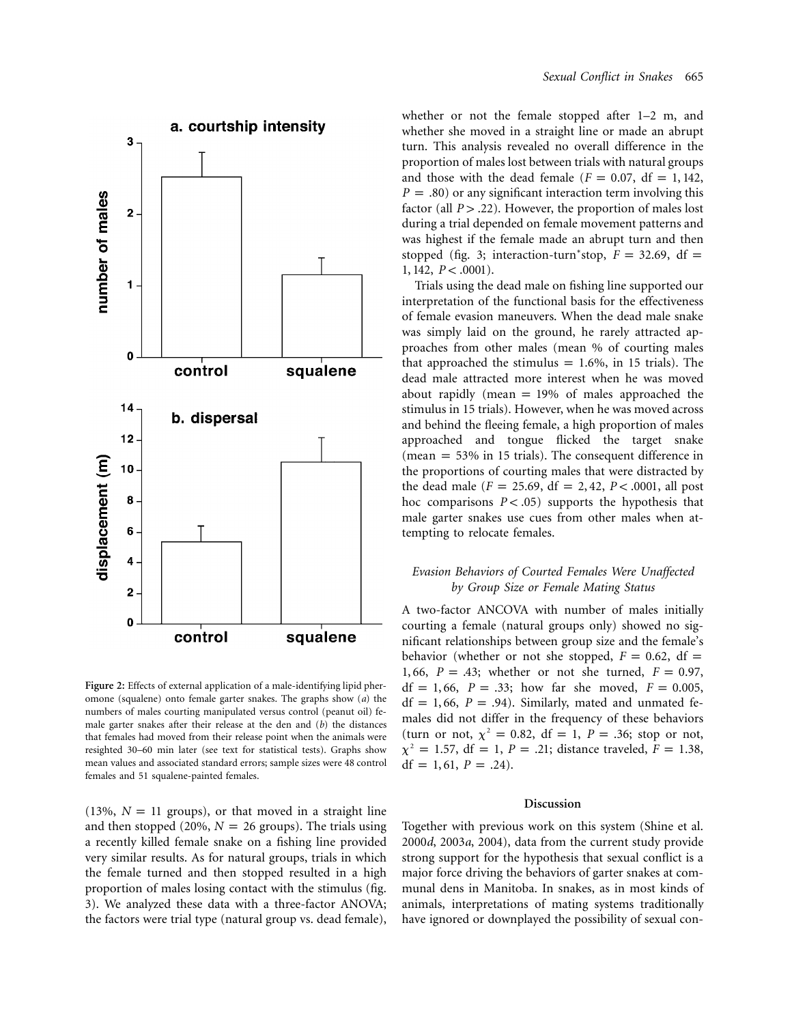

**Figure 2:** Effects of external application of a male-identifying lipid pheromone (squalene) onto female garter snakes. The graphs show (*a*) the numbers of males courting manipulated versus control (peanut oil) female garter snakes after their release at the den and (*b*) the distances that females had moved from their release point when the animals were resighted 30–60 min later (see text for statistical tests). Graphs show mean values and associated standard errors; sample sizes were 48 control females and 51 squalene-painted females.

(13%,  $N = 11$  groups), or that moved in a straight line and then stopped (20%,  $N = 26$  groups). The trials using a recently killed female snake on a fishing line provided very similar results. As for natural groups, trials in which the female turned and then stopped resulted in a high proportion of males losing contact with the stimulus (fig. 3). We analyzed these data with a three-factor ANOVA; the factors were trial type (natural group vs. dead female),

whether or not the female stopped after 1–2 m, and whether she moved in a straight line or made an abrupt turn. This analysis revealed no overall difference in the proportion of males lost between trials with natural groups and those with the dead female  $(F = 0.07, df = 1, 142,$  $P = .80$ ) or any significant interaction term involving this factor (all  $P > .22$ ). However, the proportion of males lost during a trial depended on female movement patterns and was highest if the female made an abrupt turn and then stopped (fig. 3; interaction-turn<sup>\*</sup>stop,  $F = 32.69$ , df =  $1, 142, P < .0001$ ).

Trials using the dead male on fishing line supported our interpretation of the functional basis for the effectiveness of female evasion maneuvers. When the dead male snake was simply laid on the ground, he rarely attracted approaches from other males (mean % of courting males that approached the stimulus =  $1.6\%$ , in 15 trials). The dead male attracted more interest when he was moved about rapidly (mean  $= 19%$  of males approached the stimulus in 15 trials). However, when he was moved across and behind the fleeing female, a high proportion of males approached and tongue flicked the target snake (mean  $= 53\%$  in 15 trials). The consequent difference in the proportions of courting males that were distracted by the dead male  $(F = 25.69, df = 2, 42, P < .0001, all post)$ hoc comparisons  $P < .05$  supports the hypothesis that male garter snakes use cues from other males when attempting to relocate females.

# *Evasion Behaviors of Courted Females Were Unaffected by Group Size or Female Mating Status*

A two-factor ANCOVA with number of males initially courting a female (natural groups only) showed no significant relationships between group size and the female's behavior (whether or not she stopped,  $F = 0.62$ , df = 1, 66,  $P = .43$ ; whether or not she turned,  $F = 0.97$ , df = 1, 66,  $P = .33$ ; how far she moved,  $F = 0.005$ ,  $df = 1, 66, P = .94$ . Similarly, mated and unmated females did not differ in the frequency of these behaviors (turn or not,  $\chi^2 = 0.82$ , df = 1, P = .36; stop or not,  $\chi^2 = 1.57$ , df = 1, *P* = .21; distance traveled, *F* = 1.38, df = 1, 61,  $P = .24$ ).

#### **Discussion**

Together with previous work on this system (Shine et al. 2000*d*, 2003*a*, 2004), data from the current study provide strong support for the hypothesis that sexual conflict is a major force driving the behaviors of garter snakes at communal dens in Manitoba. In snakes, as in most kinds of animals, interpretations of mating systems traditionally have ignored or downplayed the possibility of sexual con-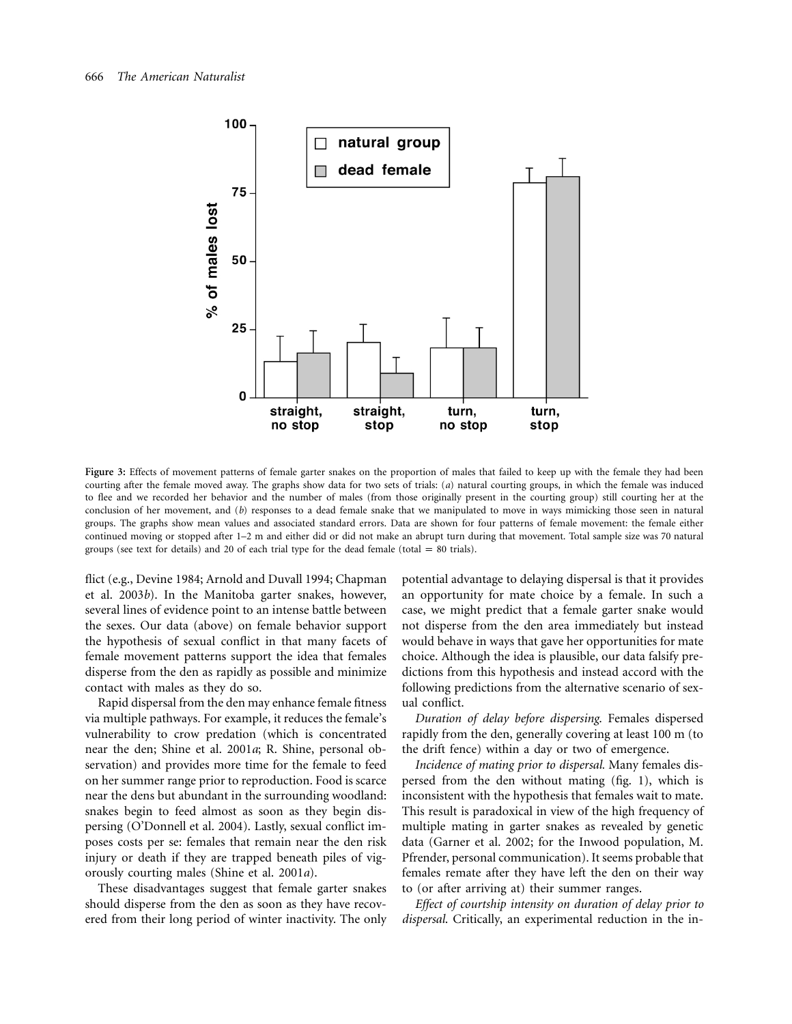

Figure 3: Effects of movement patterns of female garter snakes on the proportion of males that failed to keep up with the female they had been courting after the female moved away. The graphs show data for two sets of trials: (*a*) natural courting groups, in which the female was induced to flee and we recorded her behavior and the number of males (from those originally present in the courting group) still courting her at the conclusion of her movement, and (*b*) responses to a dead female snake that we manipulated to move in ways mimicking those seen in natural groups. The graphs show mean values and associated standard errors. Data are shown for four patterns of female movement: the female either continued moving or stopped after 1–2 m and either did or did not make an abrupt turn during that movement. Total sample size was 70 natural groups (see text for details) and 20 of each trial type for the dead female (total  $= 80$  trials).

flict (e.g., Devine 1984; Arnold and Duvall 1994; Chapman et al. 2003*b*). In the Manitoba garter snakes, however, several lines of evidence point to an intense battle between the sexes. Our data (above) on female behavior support the hypothesis of sexual conflict in that many facets of female movement patterns support the idea that females disperse from the den as rapidly as possible and minimize contact with males as they do so.

Rapid dispersal from the den may enhance female fitness via multiple pathways. For example, it reduces the female's vulnerability to crow predation (which is concentrated near the den; Shine et al. 2001*a*; R. Shine, personal observation) and provides more time for the female to feed on her summer range prior to reproduction. Food is scarce near the dens but abundant in the surrounding woodland: snakes begin to feed almost as soon as they begin dispersing (O'Donnell et al. 2004). Lastly, sexual conflict imposes costs per se: females that remain near the den risk injury or death if they are trapped beneath piles of vigorously courting males (Shine et al. 2001*a*).

These disadvantages suggest that female garter snakes should disperse from the den as soon as they have recovered from their long period of winter inactivity. The only

potential advantage to delaying dispersal is that it provides an opportunity for mate choice by a female. In such a case, we might predict that a female garter snake would not disperse from the den area immediately but instead would behave in ways that gave her opportunities for mate choice. Although the idea is plausible, our data falsify predictions from this hypothesis and instead accord with the following predictions from the alternative scenario of sexual conflict.

*Duration of delay before dispersing*. Females dispersed rapidly from the den, generally covering at least 100 m (to the drift fence) within a day or two of emergence.

*Incidence of mating prior to dispersal.* Many females dispersed from the den without mating (fig. 1), which is inconsistent with the hypothesis that females wait to mate. This result is paradoxical in view of the high frequency of multiple mating in garter snakes as revealed by genetic data (Garner et al. 2002; for the Inwood population, M. Pfrender, personal communication). It seems probable that females remate after they have left the den on their way to (or after arriving at) their summer ranges.

*Effect of courtship intensity on duration of delay prior to dispersal*. Critically, an experimental reduction in the in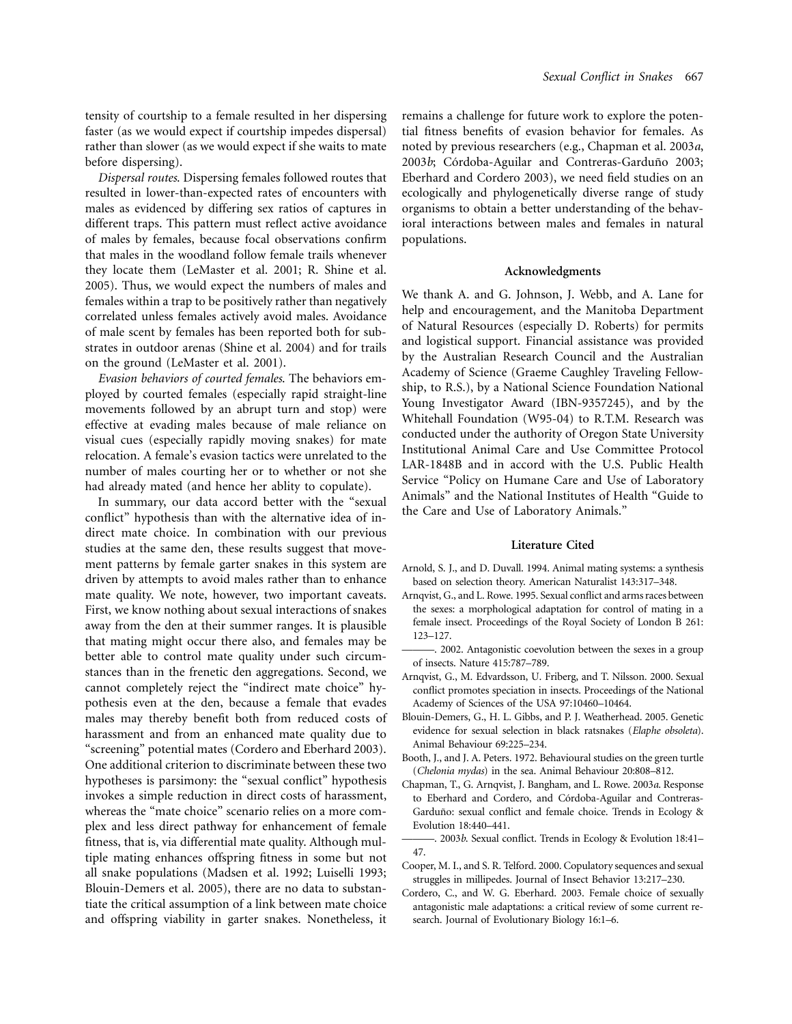tensity of courtship to a female resulted in her dispersing faster (as we would expect if courtship impedes dispersal) rather than slower (as we would expect if she waits to mate before dispersing).

*Dispersal routes*. Dispersing females followed routes that resulted in lower-than-expected rates of encounters with males as evidenced by differing sex ratios of captures in different traps. This pattern must reflect active avoidance of males by females, because focal observations confirm that males in the woodland follow female trails whenever they locate them (LeMaster et al. 2001; R. Shine et al. 2005). Thus, we would expect the numbers of males and females within a trap to be positively rather than negatively correlated unless females actively avoid males. Avoidance of male scent by females has been reported both for substrates in outdoor arenas (Shine et al. 2004) and for trails on the ground (LeMaster et al. 2001).

*Evasion behaviors of courted females*. The behaviors employed by courted females (especially rapid straight-line movements followed by an abrupt turn and stop) were effective at evading males because of male reliance on visual cues (especially rapidly moving snakes) for mate relocation. A female's evasion tactics were unrelated to the number of males courting her or to whether or not she had already mated (and hence her ablity to copulate).

In summary, our data accord better with the "sexual conflict" hypothesis than with the alternative idea of indirect mate choice. In combination with our previous studies at the same den, these results suggest that movement patterns by female garter snakes in this system are driven by attempts to avoid males rather than to enhance mate quality. We note, however, two important caveats. First, we know nothing about sexual interactions of snakes away from the den at their summer ranges. It is plausible that mating might occur there also, and females may be better able to control mate quality under such circumstances than in the frenetic den aggregations. Second, we cannot completely reject the "indirect mate choice" hypothesis even at the den, because a female that evades males may thereby benefit both from reduced costs of harassment and from an enhanced mate quality due to "screening" potential mates (Cordero and Eberhard 2003). One additional criterion to discriminate between these two hypotheses is parsimony: the "sexual conflict" hypothesis invokes a simple reduction in direct costs of harassment, whereas the "mate choice" scenario relies on a more complex and less direct pathway for enhancement of female fitness, that is, via differential mate quality. Although multiple mating enhances offspring fitness in some but not all snake populations (Madsen et al. 1992; Luiselli 1993; Blouin-Demers et al. 2005), there are no data to substantiate the critical assumption of a link between mate choice and offspring viability in garter snakes. Nonetheless, it remains a challenge for future work to explore the potential fitness benefits of evasion behavior for females. As noted by previous researchers (e.g., Chapman et al. 2003*a*, 2003*b*; Córdoba-Aguilar and Contreras-Garduño 2003; Eberhard and Cordero 2003), we need field studies on an ecologically and phylogenetically diverse range of study organisms to obtain a better understanding of the behavioral interactions between males and females in natural populations.

#### **Acknowledgments**

We thank A. and G. Johnson, J. Webb, and A. Lane for help and encouragement, and the Manitoba Department of Natural Resources (especially D. Roberts) for permits and logistical support. Financial assistance was provided by the Australian Research Council and the Australian Academy of Science (Graeme Caughley Traveling Fellowship, to R.S.), by a National Science Foundation National Young Investigator Award (IBN-9357245), and by the Whitehall Foundation (W95-04) to R.T.M. Research was conducted under the authority of Oregon State University Institutional Animal Care and Use Committee Protocol LAR-1848B and in accord with the U.S. Public Health Service "Policy on Humane Care and Use of Laboratory Animals" and the National Institutes of Health "Guide to the Care and Use of Laboratory Animals."

#### **Literature Cited**

- Arnold, S. J., and D. Duvall. 1994. Animal mating systems: a synthesis based on selection theory. American Naturalist 143:317–348.
- Arnqvist, G., and L. Rowe. 1995. Sexual conflict and arms races between the sexes: a morphological adaptation for control of mating in a female insect. Proceedings of the Royal Society of London B 261: 123–127.
- -, 2002. Antagonistic coevolution between the sexes in a group of insects. Nature 415:787–789.
- Arnqvist, G., M. Edvardsson, U. Friberg, and T. Nilsson. 2000. Sexual conflict promotes speciation in insects. Proceedings of the National Academy of Sciences of the USA 97:10460–10464.
- Blouin-Demers, G., H. L. Gibbs, and P. J. Weatherhead. 2005. Genetic evidence for sexual selection in black ratsnakes (*Elaphe obsoleta*). Animal Behaviour 69:225–234.
- Booth, J., and J. A. Peters. 1972. Behavioural studies on the green turtle (*Chelonia mydas*) in the sea. Animal Behaviour 20:808–812.
- Chapman, T., G. Arnqvist, J. Bangham, and L. Rowe. 2003*a*. Response to Eberhard and Cordero, and Córdoba-Aguilar and Contreras-Garduño: sexual conflict and female choice. Trends in Ecology & Evolution 18:440–441.
- ———. 2003*b*. Sexual conflict. Trends in Ecology & Evolution 18:41– 47.
- Cooper, M. I., and S. R. Telford. 2000. Copulatory sequences and sexual struggles in millipedes. Journal of Insect Behavior 13:217–230.
- Cordero, C., and W. G. Eberhard. 2003. Female choice of sexually antagonistic male adaptations: a critical review of some current research. Journal of Evolutionary Biology 16:1–6.